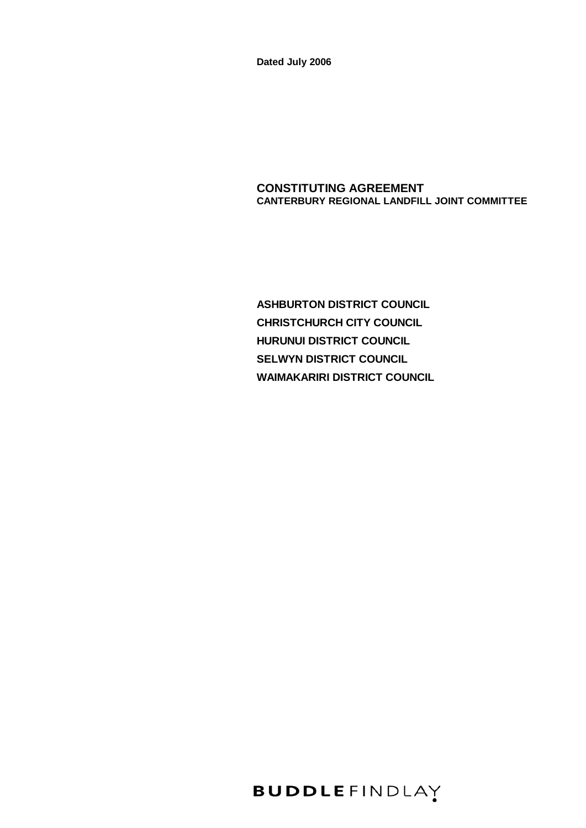**Dated July 2006**

# **CONSTITUTING AGREEMENT CANTERBURY REGIONAL LANDFILL JOINT COMMITTEE**

**ASHBURTON DISTRICT COUNCIL CHRISTCHURCH CITY COUNCIL HURUNUI DISTRICT COUNCIL SELWYN DISTRICT COUNCIL WAIMAKARIRI DISTRICT COUNCIL**

**BUDDLEFINDLAY**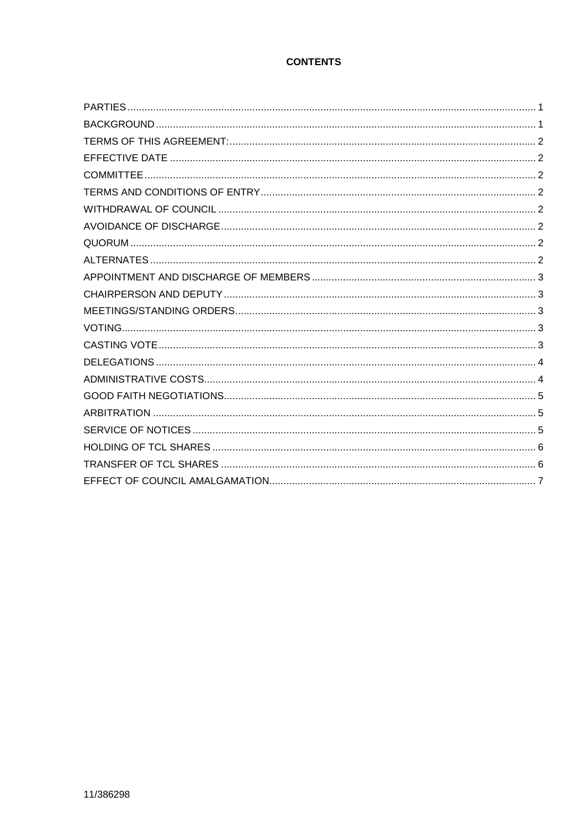# **CONTENTS**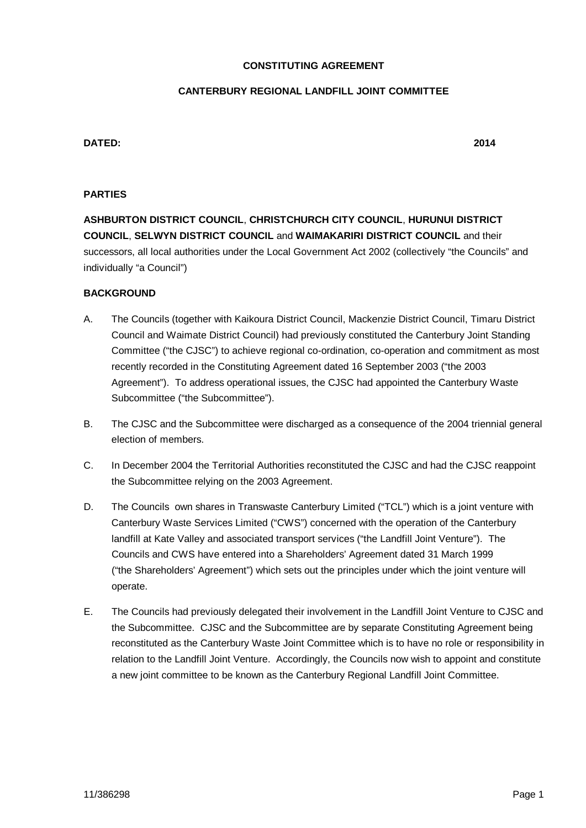#### **CONSTITUTING AGREEMENT**

#### **CANTERBURY REGIONAL LANDFILL JOINT COMMITTEE**

## **DATED: 2014**

#### **PARTIES**

**ASHBURTON DISTRICT COUNCIL**, **CHRISTCHURCH CITY COUNCIL**, **HURUNUI DISTRICT COUNCIL**, **SELWYN DISTRICT COUNCIL** and **WAIMAKARIRI DISTRICT COUNCIL** and their successors, all local authorities under the Local Government Act 2002 (collectively "the Councils" and individually "a Council")

#### **BACKGROUND**

- A. The Councils (together with Kaikoura District Council, Mackenzie District Council, Timaru District Council and Waimate District Council) had previously constituted the Canterbury Joint Standing Committee ("the CJSC") to achieve regional co-ordination, co-operation and commitment as most recently recorded in the Constituting Agreement dated 16 September 2003 ("the 2003 Agreement"). To address operational issues, the CJSC had appointed the Canterbury Waste Subcommittee ("the Subcommittee").
- B. The CJSC and the Subcommittee were discharged as a consequence of the 2004 triennial general election of members.
- C. In December 2004 the Territorial Authorities reconstituted the CJSC and had the CJSC reappoint the Subcommittee relying on the 2003 Agreement.
- D. The Councils own shares in Transwaste Canterbury Limited ("TCL") which is a joint venture with Canterbury Waste Services Limited ("CWS") concerned with the operation of the Canterbury landfill at Kate Valley and associated transport services ("the Landfill Joint Venture"). The Councils and CWS have entered into a Shareholders' Agreement dated 31 March 1999 ("the Shareholders' Agreement") which sets out the principles under which the joint venture will operate.
- E. The Councils had previously delegated their involvement in the Landfill Joint Venture to CJSC and the Subcommittee. CJSC and the Subcommittee are by separate Constituting Agreement being reconstituted as the Canterbury Waste Joint Committee which is to have no role or responsibility in relation to the Landfill Joint Venture. Accordingly, the Councils now wish to appoint and constitute a new joint committee to be known as the Canterbury Regional Landfill Joint Committee.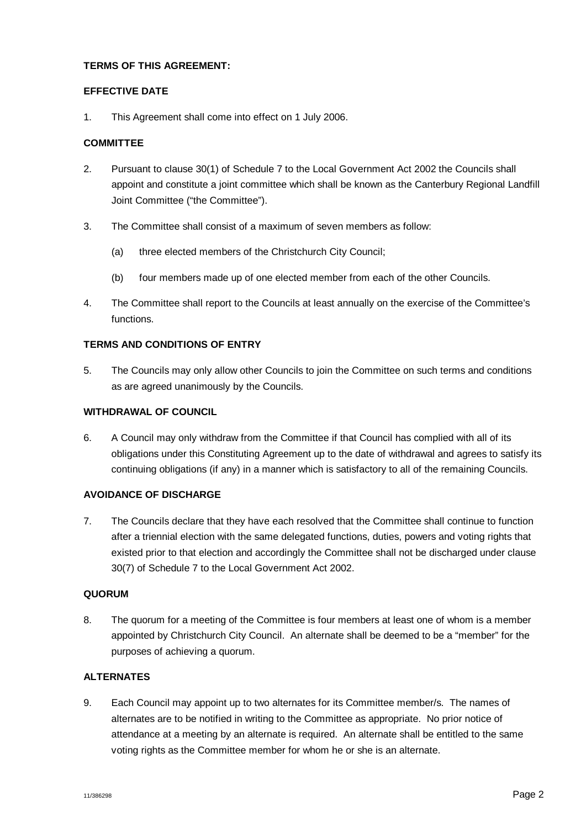## **TERMS OF THIS AGREEMENT:**

#### **EFFECTIVE DATE**

1. This Agreement shall come into effect on 1 July 2006.

#### **COMMITTEE**

- 2. Pursuant to clause 30(1) of Schedule 7 to the Local Government Act 2002 the Councils shall appoint and constitute a joint committee which shall be known as the Canterbury Regional Landfill Joint Committee ("the Committee").
- 3. The Committee shall consist of a maximum of seven members as follow:
	- (a) three elected members of the Christchurch City Council;
	- (b) four members made up of one elected member from each of the other Councils.
- 4. The Committee shall report to the Councils at least annually on the exercise of the Committee's functions.

# **TERMS AND CONDITIONS OF ENTRY**

5. The Councils may only allow other Councils to join the Committee on such terms and conditions as are agreed unanimously by the Councils.

#### **WITHDRAWAL OF COUNCIL**

6. A Council may only withdraw from the Committee if that Council has complied with all of its obligations under this Constituting Agreement up to the date of withdrawal and agrees to satisfy its continuing obligations (if any) in a manner which is satisfactory to all of the remaining Councils.

#### **AVOIDANCE OF DISCHARGE**

7. The Councils declare that they have each resolved that the Committee shall continue to function after a triennial election with the same delegated functions, duties, powers and voting rights that existed prior to that election and accordingly the Committee shall not be discharged under clause 30(7) of Schedule 7 to the Local Government Act 2002.

#### **QUORUM**

8. The quorum for a meeting of the Committee is four members at least one of whom is a member appointed by Christchurch City Council. An alternate shall be deemed to be a "member" for the purposes of achieving a quorum.

## **ALTERNATES**

9. Each Council may appoint up to two alternates for its Committee member/s. The names of alternates are to be notified in writing to the Committee as appropriate. No prior notice of attendance at a meeting by an alternate is required. An alternate shall be entitled to the same voting rights as the Committee member for whom he or she is an alternate.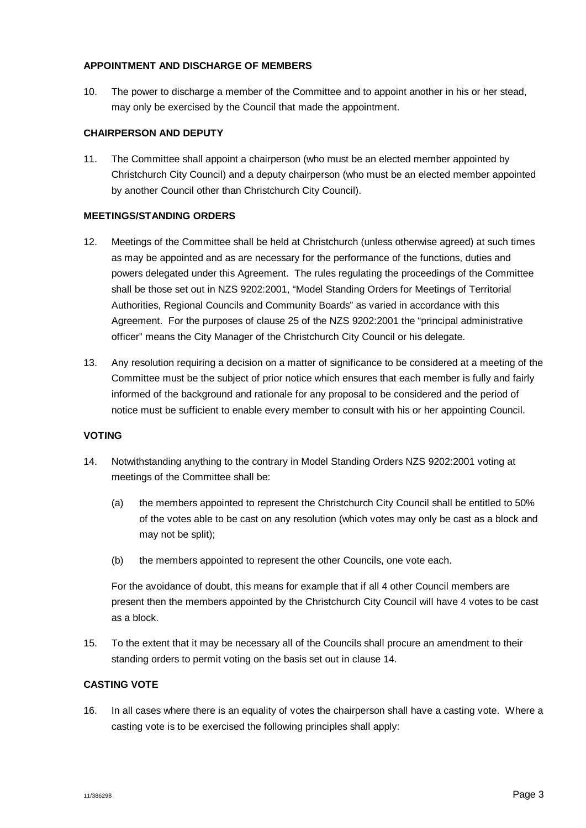## **APPOINTMENT AND DISCHARGE OF MEMBERS**

10. The power to discharge a member of the Committee and to appoint another in his or her stead, may only be exercised by the Council that made the appointment.

## **CHAIRPERSON AND DEPUTY**

11. The Committee shall appoint a chairperson (who must be an elected member appointed by Christchurch City Council) and a deputy chairperson (who must be an elected member appointed by another Council other than Christchurch City Council).

## **MEETINGS/STANDING ORDERS**

- 12. Meetings of the Committee shall be held at Christchurch (unless otherwise agreed) at such times as may be appointed and as are necessary for the performance of the functions, duties and powers delegated under this Agreement. The rules regulating the proceedings of the Committee shall be those set out in NZS 9202:2001, "Model Standing Orders for Meetings of Territorial Authorities, Regional Councils and Community Boards" as varied in accordance with this Agreement. For the purposes of clause 25 of the NZS 9202:2001 the "principal administrative officer" means the City Manager of the Christchurch City Council or his delegate.
- 13. Any resolution requiring a decision on a matter of significance to be considered at a meeting of the Committee must be the subject of prior notice which ensures that each member is fully and fairly informed of the background and rationale for any proposal to be considered and the period of notice must be sufficient to enable every member to consult with his or her appointing Council.

#### **VOTING**

- <span id="page-4-0"></span>14. Notwithstanding anything to the contrary in Model Standing Orders NZS 9202:2001 voting at meetings of the Committee shall be:
	- (a) the members appointed to represent the Christchurch City Council shall be entitled to 50% of the votes able to be cast on any resolution (which votes may only be cast as a block and may not be split);
	- (b) the members appointed to represent the other Councils, one vote each.

For the avoidance of doubt, this means for example that if all 4 other Council members are present then the members appointed by the Christchurch City Council will have 4 votes to be cast as a block.

15. To the extent that it may be necessary all of the Councils shall procure an amendment to their standing orders to permit voting on the basis set out in clause [14](#page-4-0).

# **CASTING VOTE**

16. In all cases where there is an equality of votes the chairperson shall have a casting vote. Where a casting vote is to be exercised the following principles shall apply: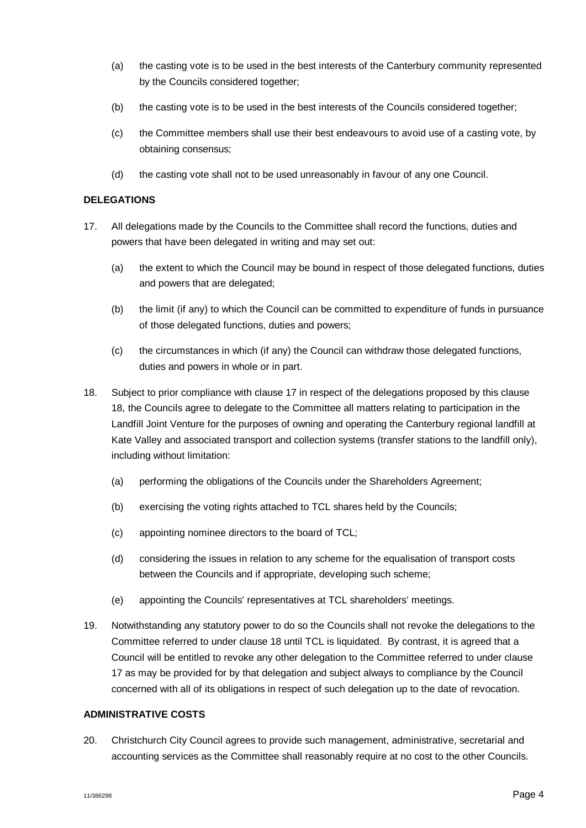- (a) the casting vote is to be used in the best interests of the Canterbury community represented by the Councils considered together;
- (b) the casting vote is to be used in the best interests of the Councils considered together;
- (c) the Committee members shall use their best endeavours to avoid use of a casting vote, by obtaining consensus;
- (d) the casting vote shall not to be used unreasonably in favour of any one Council.

# **DELEGATIONS**

- <span id="page-5-0"></span>17. All delegations made by the Councils to the Committee shall record the functions, duties and powers that have been delegated in writing and may set out:
	- (a) the extent to which the Council may be bound in respect of those delegated functions, duties and powers that are delegated;
	- (b) the limit (if any) to which the Council can be committed to expenditure of funds in pursuance of those delegated functions, duties and powers;
	- (c) the circumstances in which (if any) the Council can withdraw those delegated functions, duties and powers in whole or in part.
- <span id="page-5-1"></span>18. Subject to prior compliance with clause [17](#page-5-0) in respect of the delegations proposed by this clause *<sup>X</sup>*[18](#page-5-1)*X*, the Councils agree to delegate to the Committee all matters relating to participation in the Landfill Joint Venture for the purposes of owning and operating the Canterbury regional landfill at Kate Valley and associated transport and collection systems (transfer stations to the landfill only), including without limitation:
	- (a) performing the obligations of the Councils under the Shareholders Agreement;
	- (b) exercising the voting rights attached to TCL shares held by the Councils;
	- (c) appointing nominee directors to the board of TCL;
	- (d) considering the issues in relation to any scheme for the equalisation of transport costs between the Councils and if appropriate, developing such scheme;
	- (e) appointing the Councils' representatives at TCL shareholders' meetings.
- 19. Notwithstanding any statutory power to do so the Councils shall not revoke the delegations to the Committee referred to under clause [18](#page-5-1) until TCL is liquidated. By contrast, it is agreed that a Council will be entitled to revoke any other delegation to the Committee referred to under clause *<sup>X</sup>*[17](#page-5-0)*<sup>X</sup>* as may be provided for by that delegation and subject always to compliance by the Council concerned with all of its obligations in respect of such delegation up to the date of revocation.

#### **ADMINISTRATIVE COSTS**

20. Christchurch City Council agrees to provide such management, administrative, secretarial and accounting services as the Committee shall reasonably require at no cost to the other Councils.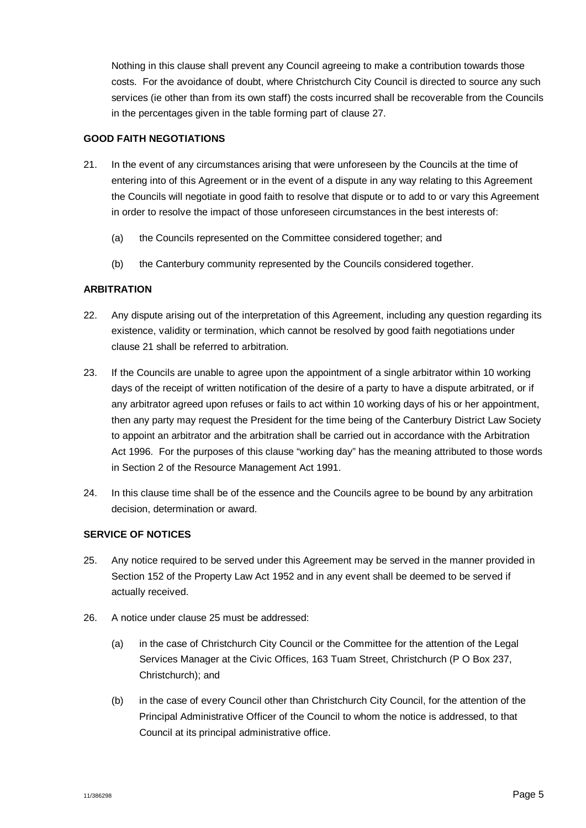Nothing in this clause shall prevent any Council agreeing to make a contribution towards those costs. For the avoidance of doubt, where Christchurch City Council is directed to source any such services (ie other than from its own staff) the costs incurred shall be recoverable from the Councils in the percentages given in the table forming part of clause [27](#page-7-0).

## **GOOD FAITH NEGOTIATIONS**

- <span id="page-6-0"></span>21. In the event of any circumstances arising that were unforeseen by the Councils at the time of entering into of this Agreement or in the event of a dispute in any way relating to this Agreement the Councils will negotiate in good faith to resolve that dispute or to add to or vary this Agreement in order to resolve the impact of those unforeseen circumstances in the best interests of:
	- (a) the Councils represented on the Committee considered together; and
	- (b) the Canterbury community represented by the Councils considered together.

## **ARBITRATION**

- 22. Any dispute arising out of the interpretation of this Agreement, including any question regarding its existence, validity or termination, which cannot be resolved by good faith negotiations under clause *<sup>X</sup>*[21](#page-6-0)*<sup>X</sup>* shall be referred to arbitration.
- 23. If the Councils are unable to agree upon the appointment of a single arbitrator within 10 working days of the receipt of written notification of the desire of a party to have a dispute arbitrated, or if any arbitrator agreed upon refuses or fails to act within 10 working days of his or her appointment, then any party may request the President for the time being of the Canterbury District Law Society to appoint an arbitrator and the arbitration shall be carried out in accordance with the Arbitration Act 1996. For the purposes of this clause "working day" has the meaning attributed to those words in Section 2 of the Resource Management Act 1991.
- 24. In this clause time shall be of the essence and the Councils agree to be bound by any arbitration decision, determination or award.

## **SERVICE OF NOTICES**

- <span id="page-6-1"></span>25. Any notice required to be served under this Agreement may be served in the manner provided in Section 152 of the Property Law Act 1952 and in any event shall be deemed to be served if actually received.
- 26. A notice under clause [25](#page-6-1) must be addressed:
	- (a) in the case of Christchurch City Council or the Committee for the attention of the Legal Services Manager at the Civic Offices, 163 Tuam Street, Christchurch (P O Box 237, Christchurch); and
	- (b) in the case of every Council other than Christchurch City Council, for the attention of the Principal Administrative Officer of the Council to whom the notice is addressed, to that Council at its principal administrative office.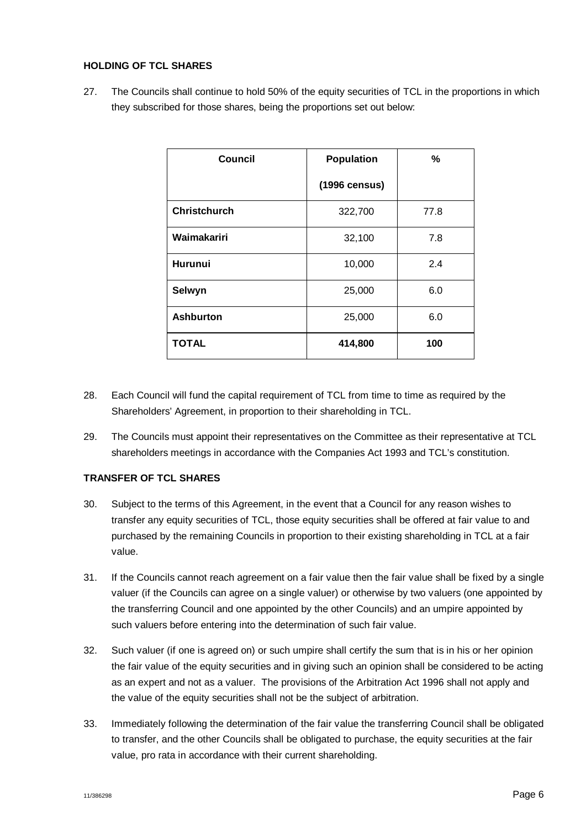## **HOLDING OF TCL SHARES**

<span id="page-7-0"></span>27. The Councils shall continue to hold 50% of the equity securities of TCL in the proportions in which they subscribed for those shares, being the proportions set out below:

| <b>Council</b>      | <b>Population</b> | %    |
|---------------------|-------------------|------|
|                     | (1996 census)     |      |
| <b>Christchurch</b> | 322,700           | 77.8 |
| Waimakariri         | 32,100            | 7.8  |
| <b>Hurunui</b>      | 10,000            | 2.4  |
| Selwyn              | 25,000            | 6.0  |
| <b>Ashburton</b>    | 25,000            | 6.0  |
| <b>TOTAL</b>        | 414,800           | 100  |

- 28. Each Council will fund the capital requirement of TCL from time to time as required by the Shareholders' Agreement, in proportion to their shareholding in TCL.
- 29. The Councils must appoint their representatives on the Committee as their representative at TCL shareholders meetings in accordance with the Companies Act 1993 and TCL's constitution.

# **TRANSFER OF TCL SHARES**

- <span id="page-7-1"></span>30. Subject to the terms of this Agreement, in the event that a Council for any reason wishes to transfer any equity securities of TCL, those equity securities shall be offered at fair value to and purchased by the remaining Councils in proportion to their existing shareholding in TCL at a fair value.
- 31. If the Councils cannot reach agreement on a fair value then the fair value shall be fixed by a single valuer (if the Councils can agree on a single valuer) or otherwise by two valuers (one appointed by the transferring Council and one appointed by the other Councils) and an umpire appointed by such valuers before entering into the determination of such fair value.
- 32. Such valuer (if one is agreed on) or such umpire shall certify the sum that is in his or her opinion the fair value of the equity securities and in giving such an opinion shall be considered to be acting as an expert and not as a valuer. The provisions of the Arbitration Act 1996 shall not apply and the value of the equity securities shall not be the subject of arbitration.
- <span id="page-7-2"></span>33. Immediately following the determination of the fair value the transferring Council shall be obligated to transfer, and the other Councils shall be obligated to purchase, the equity securities at the fair value, pro rata in accordance with their current shareholding.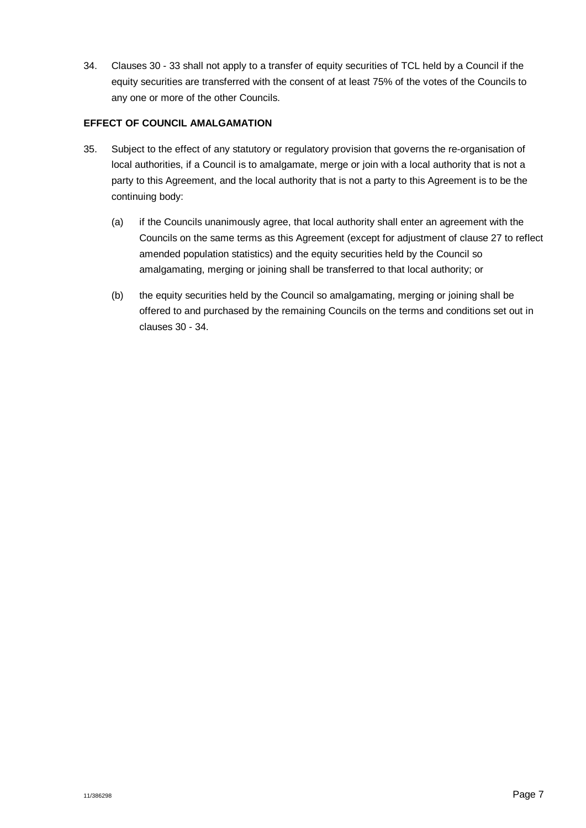<span id="page-8-0"></span>34. Clauses [30](#page-7-1) - [33](#page-7-2) shall not apply to a transfer of equity securities of TCL held by a Council if the equity securities are transferred with the consent of at least 75% of the votes of the Councils to any one or more of the other Councils.

## **EFFECT OF COUNCIL AMALGAMATION**

- 35. Subject to the effect of any statutory or regulatory provision that governs the re-organisation of local authorities, if a Council is to amalgamate, merge or join with a local authority that is not a party to this Agreement, and the local authority that is not a party to this Agreement is to be the continuing body:
	- (a) if the Councils unanimously agree, that local authority shall enter an agreement with the Councils on the same terms as this Agreement (except for adjustment of clause [27](#page-7-0) to reflect amended population statistics) and the equity securities held by the Council so amalgamating, merging or joining shall be transferred to that local authority; or
	- (b) the equity securities held by the Council so amalgamating, merging or joining shall be offered to and purchased by the remaining Councils on the terms and conditions set out in clauses *<sup>X</sup>*[30](#page-7-1)*<sup>X</sup>* - *<sup>X</sup>*[34](#page-8-0)*X*.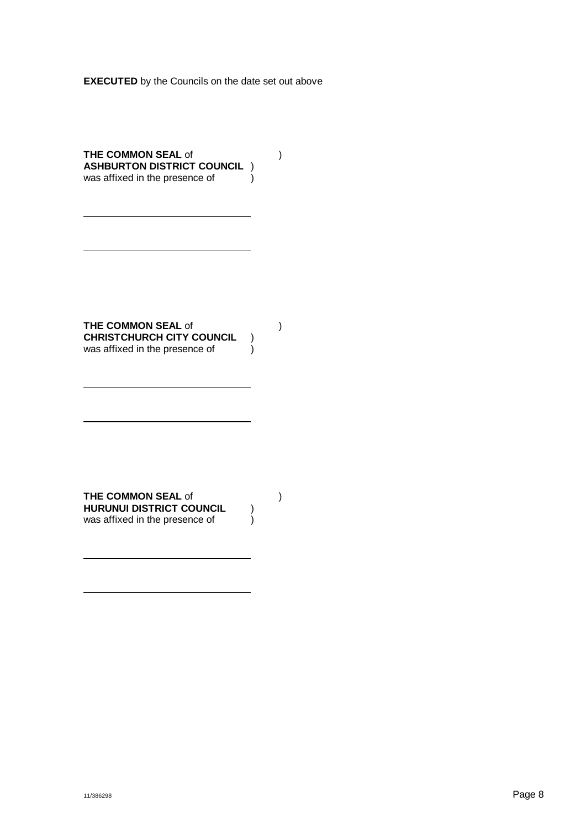**EXECUTED** by the Councils on the date set out above

**THE COMMON SEAL** of ) **ASHBURTON DISTRICT COUNCIL** ) was affixed in the presence of  $\overrightarrow{\hspace{1cm}}$ 

**THE COMMON SEAL** of ) **CHRISTCHURCH CITY COUNCIL**  $\vee$  was affixed in the presence of  $\vee$ was affixed in the presence of

**THE COMMON SEAL of (1)**<br>HURUNUI DISTRICT COUNCIL (1) **HURUNUI DISTRICT COUNCIL** ) was affixed in the presence of  $\qquad \qquad )$